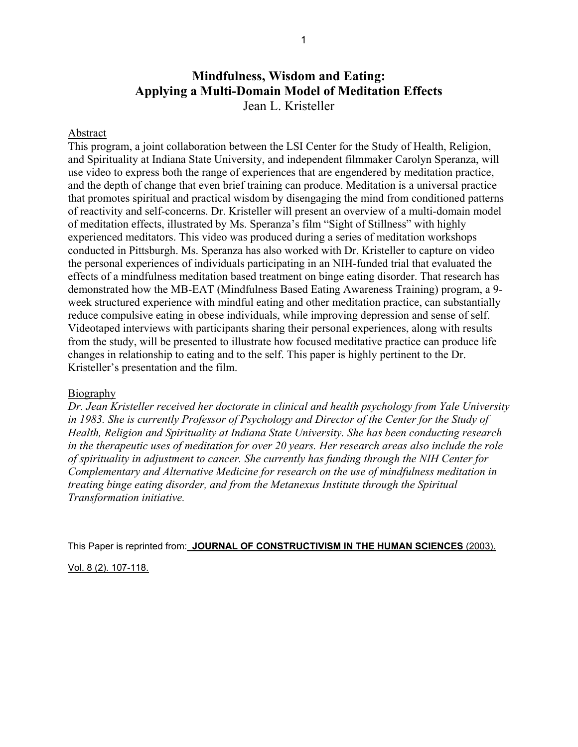# **Mindfulness, Wisdom and Eating: Applying a Multi-Domain Model of Meditation Effects**  Jean L. Kristeller

# Abstract

This program, a joint collaboration between the LSI Center for the Study of Health, Religion, and Spirituality at Indiana State University, and independent filmmaker Carolyn Speranza, will use video to express both the range of experiences that are engendered by meditation practice, and the depth of change that even brief training can produce. Meditation is a universal practice that promotes spiritual and practical wisdom by disengaging the mind from conditioned patterns of reactivity and self-concerns. Dr. Kristeller will present an overview of a multi-domain model of meditation effects, illustrated by Ms. Speranza's film "Sight of Stillness" with highly experienced meditators. This video was produced during a series of meditation workshops conducted in Pittsburgh. Ms. Speranza has also worked with Dr. Kristeller to capture on video the personal experiences of individuals participating in an NIH-funded trial that evaluated the effects of a mindfulness meditation based treatment on binge eating disorder. That research has demonstrated how the MB-EAT (Mindfulness Based Eating Awareness Training) program, a 9 week structured experience with mindful eating and other meditation practice, can substantially reduce compulsive eating in obese individuals, while improving depression and sense of self. Videotaped interviews with participants sharing their personal experiences, along with results from the study, will be presented to illustrate how focused meditative practice can produce life changes in relationship to eating and to the self. This paper is highly pertinent to the Dr. Kristeller's presentation and the film.

## **Biography**

*Dr. Jean Kristeller received her doctorate in clinical and health psychology from Yale University in 1983. She is currently Professor of Psychology and Director of the Center for the Study of Health, Religion and Spirituality at Indiana State University. She has been conducting research in the therapeutic uses of meditation for over 20 years. Her research areas also include the role of spirituality in adjustment to cancer. She currently has funding through the NIH Center for Complementary and Alternative Medicine for research on the use of mindfulness meditation in treating binge eating disorder, and from the Metanexus Institute through the Spiritual Transformation initiative.* 

This Paper is reprinted from: **JOURNAL OF CONSTRUCTIVISM IN THE HUMAN SCIENCES** (2003).

Vol. 8 (2). 107-118.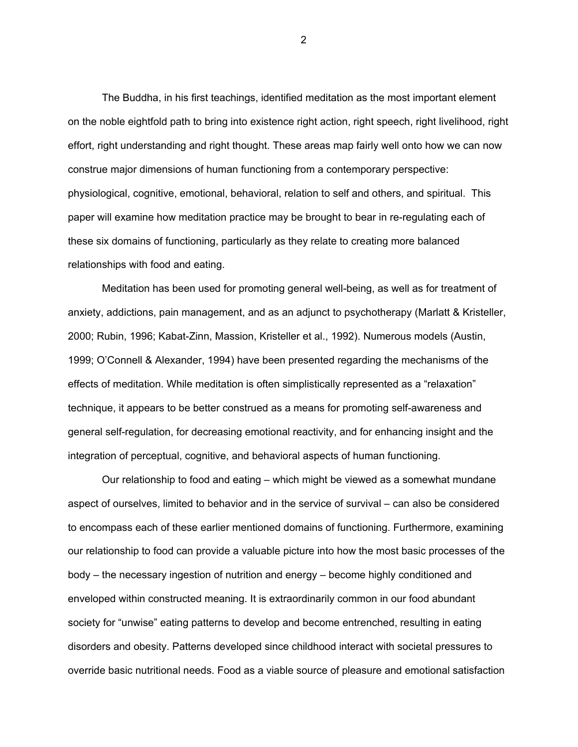The Buddha, in his first teachings, identified meditation as the most important element on the noble eightfold path to bring into existence right action, right speech, right livelihood, right effort, right understanding and right thought. These areas map fairly well onto how we can now construe major dimensions of human functioning from a contemporary perspective: physiological, cognitive, emotional, behavioral, relation to self and others, and spiritual. This paper will examine how meditation practice may be brought to bear in re-regulating each of these six domains of functioning, particularly as they relate to creating more balanced relationships with food and eating.

 Meditation has been used for promoting general well-being, as well as for treatment of anxiety, addictions, pain management, and as an adjunct to psychotherapy (Marlatt & Kristeller, 2000; Rubin, 1996; Kabat-Zinn, Massion, Kristeller et al., 1992). Numerous models (Austin, 1999; O'Connell & Alexander, 1994) have been presented regarding the mechanisms of the effects of meditation. While meditation is often simplistically represented as a "relaxation" technique, it appears to be better construed as a means for promoting self-awareness and general self-regulation, for decreasing emotional reactivity, and for enhancing insight and the integration of perceptual, cognitive, and behavioral aspects of human functioning.

Our relationship to food and eating – which might be viewed as a somewhat mundane aspect of ourselves, limited to behavior and in the service of survival – can also be considered to encompass each of these earlier mentioned domains of functioning. Furthermore, examining our relationship to food can provide a valuable picture into how the most basic processes of the body – the necessary ingestion of nutrition and energy – become highly conditioned and enveloped within constructed meaning. It is extraordinarily common in our food abundant society for "unwise" eating patterns to develop and become entrenched, resulting in eating disorders and obesity. Patterns developed since childhood interact with societal pressures to override basic nutritional needs. Food as a viable source of pleasure and emotional satisfaction

2 and 2 and 2 and 2 and 2 and 2 and 2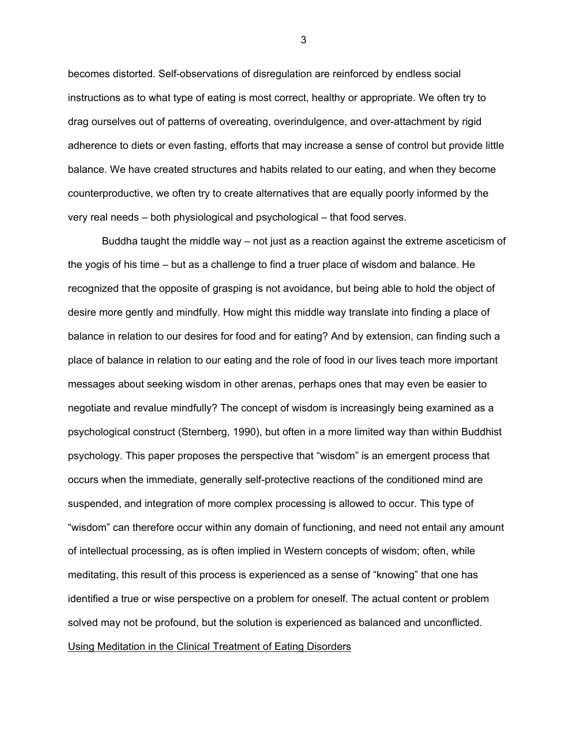becomes distorted. Self-observations of disregulation are reinforced by endless social instructions as to what type of eating is most correct, healthy or appropriate. We often try to drag ourselves out of patterns of overeating, overindulgence, and over-attachment by rigid adherence to diets or even fasting, efforts that may increase a sense of control but provide little balance. We have created structures and habits related to our eating, and when they become counterproductive, we often try to create alternatives that are equally poorly informed by the very real needs – both physiological and psychological – that food serves.

Buddha taught the middle way – not just as a reaction against the extreme asceticism of the yogis of his time – but as a challenge to find a truer place of wisdom and balance. He recognized that the opposite of grasping is not avoidance, but being able to hold the object of desire more gently and mindfully. How might this middle way translate into finding a place of balance in relation to our desires for food and for eating? And by extension, can finding such a place of balance in relation to our eating and the role of food in our lives teach more important messages about seeking wisdom in other arenas, perhaps ones that may even be easier to negotiate and revalue mindfully? The concept of wisdom is increasingly being examined as a psychological construct (Sternberg, 1990), but often in a more limited way than within Buddhist psychology. This paper proposes the perspective that "wisdom" is an emergent process that occurs when the immediate, generally self-protective reactions of the conditioned mind are suspended, and integration of more complex processing is allowed to occur. This type of "wisdom" can therefore occur within any domain of functioning, and need not entail any amount of intellectual processing, as is often implied in Western concepts of wisdom; often, while meditating, this result of this process is experienced as a sense of "knowing" that one has identified a true or wise perspective on a problem for oneself. The actual content or problem solved may not be profound, but the solution is experienced as balanced and unconflicted. Using Meditation in the Clinical Treatment of Eating Disorders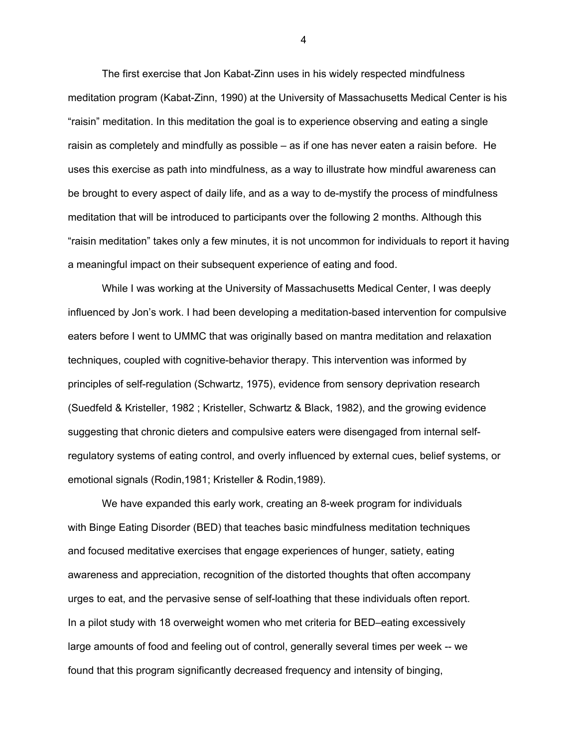The first exercise that Jon Kabat-Zinn uses in his widely respected mindfulness meditation program (Kabat-Zinn, 1990) at the University of Massachusetts Medical Center is his "raisin" meditation. In this meditation the goal is to experience observing and eating a single raisin as completely and mindfully as possible – as if one has never eaten a raisin before. He uses this exercise as path into mindfulness, as a way to illustrate how mindful awareness can be brought to every aspect of daily life, and as a way to de-mystify the process of mindfulness meditation that will be introduced to participants over the following 2 months. Although this "raisin meditation" takes only a few minutes, it is not uncommon for individuals to report it having a meaningful impact on their subsequent experience of eating and food.

While I was working at the University of Massachusetts Medical Center, I was deeply influenced by Jon's work. I had been developing a meditation-based intervention for compulsive eaters before I went to UMMC that was originally based on mantra meditation and relaxation techniques, coupled with cognitive-behavior therapy. This intervention was informed by principles of self-regulation (Schwartz, 1975), evidence from sensory deprivation research (Suedfeld & Kristeller, 1982 ; Kristeller, Schwartz & Black, 1982), and the growing evidence suggesting that chronic dieters and compulsive eaters were disengaged from internal selfregulatory systems of eating control, and overly influenced by external cues, belief systems, or emotional signals (Rodin,1981; Kristeller & Rodin,1989).

 We have expanded this early work, creating an 8-week program for individuals with Binge Eating Disorder (BED) that teaches basic mindfulness meditation techniques and focused meditative exercises that engage experiences of hunger, satiety, eating awareness and appreciation, recognition of the distorted thoughts that often accompany urges to eat, and the pervasive sense of self-loathing that these individuals often report. In a pilot study with 18 overweight women who met criteria for BED–eating excessively large amounts of food and feeling out of control, generally several times per week -- we found that this program significantly decreased frequency and intensity of binging,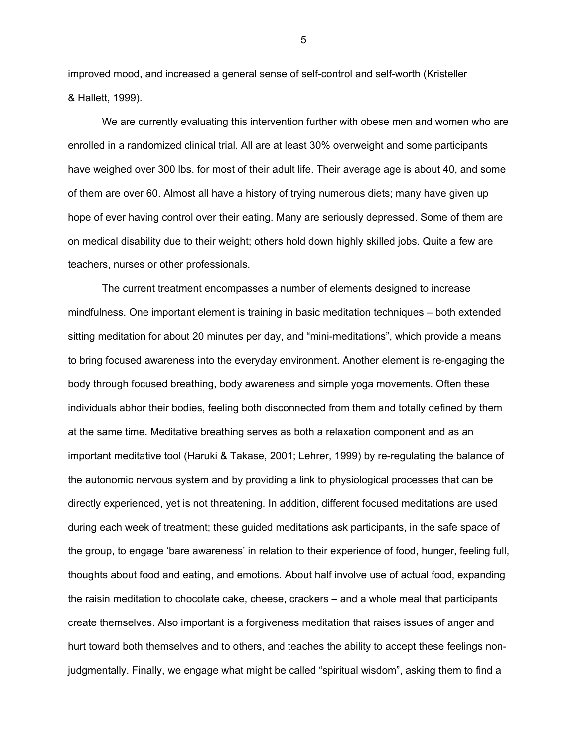improved mood, and increased a general sense of self-control and self-worth (Kristeller & Hallett, 1999).

We are currently evaluating this intervention further with obese men and women who are enrolled in a randomized clinical trial. All are at least 30% overweight and some participants have weighed over 300 lbs. for most of their adult life. Their average age is about 40, and some of them are over 60. Almost all have a history of trying numerous diets; many have given up hope of ever having control over their eating. Many are seriously depressed. Some of them are on medical disability due to their weight; others hold down highly skilled jobs. Quite a few are teachers, nurses or other professionals.

 The current treatment encompasses a number of elements designed to increase mindfulness. One important element is training in basic meditation techniques – both extended sitting meditation for about 20 minutes per day, and "mini-meditations", which provide a means to bring focused awareness into the everyday environment. Another element is re-engaging the body through focused breathing, body awareness and simple yoga movements. Often these individuals abhor their bodies, feeling both disconnected from them and totally defined by them at the same time. Meditative breathing serves as both a relaxation component and as an important meditative tool (Haruki & Takase, 2001; Lehrer, 1999) by re-regulating the balance of the autonomic nervous system and by providing a link to physiological processes that can be directly experienced, yet is not threatening. In addition, different focused meditations are used during each week of treatment; these guided meditations ask participants, in the safe space of the group, to engage 'bare awareness' in relation to their experience of food, hunger, feeling full, thoughts about food and eating, and emotions. About half involve use of actual food, expanding the raisin meditation to chocolate cake, cheese, crackers – and a whole meal that participants create themselves. Also important is a forgiveness meditation that raises issues of anger and hurt toward both themselves and to others, and teaches the ability to accept these feelings nonjudgmentally. Finally, we engage what might be called "spiritual wisdom", asking them to find a

 $5\,$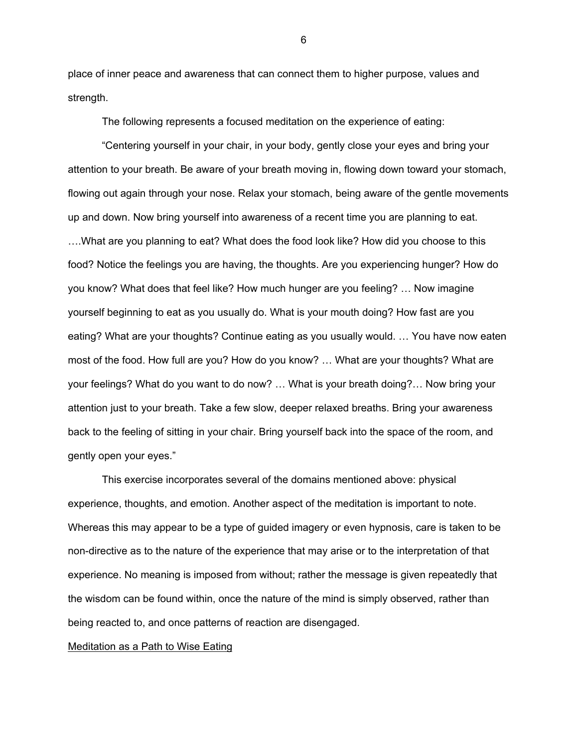place of inner peace and awareness that can connect them to higher purpose, values and strength.

The following represents a focused meditation on the experience of eating:

"Centering yourself in your chair, in your body, gently close your eyes and bring your attention to your breath. Be aware of your breath moving in, flowing down toward your stomach, flowing out again through your nose. Relax your stomach, being aware of the gentle movements up and down. Now bring yourself into awareness of a recent time you are planning to eat. ….What are you planning to eat? What does the food look like? How did you choose to this food? Notice the feelings you are having, the thoughts. Are you experiencing hunger? How do you know? What does that feel like? How much hunger are you feeling? … Now imagine yourself beginning to eat as you usually do. What is your mouth doing? How fast are you eating? What are your thoughts? Continue eating as you usually would. … You have now eaten most of the food. How full are you? How do you know? … What are your thoughts? What are your feelings? What do you want to do now? … What is your breath doing?… Now bring your attention just to your breath. Take a few slow, deeper relaxed breaths. Bring your awareness back to the feeling of sitting in your chair. Bring yourself back into the space of the room, and gently open your eyes."

 This exercise incorporates several of the domains mentioned above: physical experience, thoughts, and emotion. Another aspect of the meditation is important to note. Whereas this may appear to be a type of guided imagery or even hypnosis, care is taken to be non-directive as to the nature of the experience that may arise or to the interpretation of that experience. No meaning is imposed from without; rather the message is given repeatedly that the wisdom can be found within, once the nature of the mind is simply observed, rather than being reacted to, and once patterns of reaction are disengaged.

### Meditation as a Path to Wise Eating

 $\sim$  600  $\sim$  600  $\sim$  600  $\sim$  600  $\sim$  600  $\sim$  600  $\sim$  600  $\sim$  600  $\sim$  600  $\sim$  600  $\sim$  600  $\sim$  600  $\sim$  600  $\sim$  600  $\sim$  600  $\sim$  600  $\sim$  600  $\sim$  600  $\sim$  600  $\sim$  600  $\sim$  600  $\sim$  600  $\sim$  600  $\sim$  600  $\sim$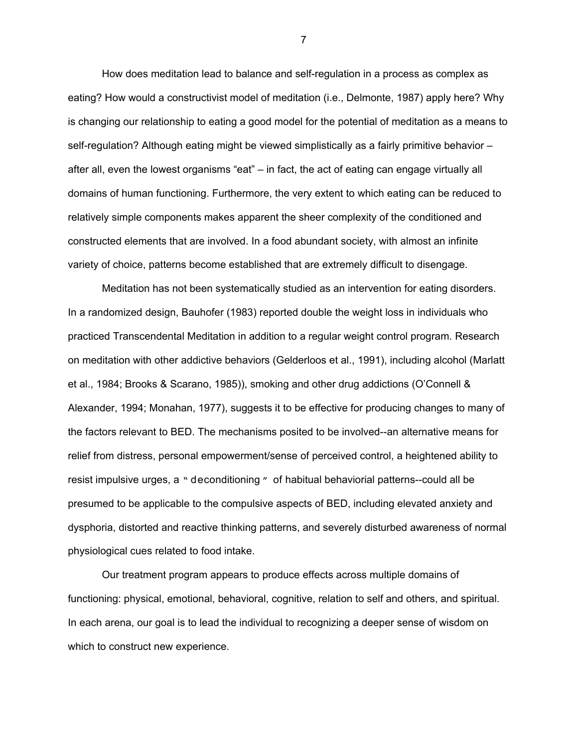How does meditation lead to balance and self-regulation in a process as complex as eating? How would a constructivist model of meditation (i.e., Delmonte, 1987) apply here? Why is changing our relationship to eating a good model for the potential of meditation as a means to self-regulation? Although eating might be viewed simplistically as a fairly primitive behavior – after all, even the lowest organisms "eat" – in fact, the act of eating can engage virtually all domains of human functioning. Furthermore, the very extent to which eating can be reduced to relatively simple components makes apparent the sheer complexity of the conditioned and constructed elements that are involved. In a food abundant society, with almost an infinite variety of choice, patterns become established that are extremely difficult to disengage.

Meditation has not been systematically studied as an intervention for eating disorders. In a randomized design, Bauhofer (1983) reported double the weight loss in individuals who practiced Transcendental Meditation in addition to a regular weight control program. Research on meditation with other addictive behaviors (Gelderloos et al., 1991), including alcohol (Marlatt et al., 1984; Brooks & Scarano, 1985)), smoking and other drug addictions (O'Connell & Alexander, 1994; Monahan, 1977), suggests it to be effective for producing changes to many of the factors relevant to BED. The mechanisms posited to be involved--an alternative means for relief from distress, personal empowerment/sense of perceived control, a heightened ability to resist impulsive urges, a " deconditioning " of habitual behaviorial patterns--could all be presumed to be applicable to the compulsive aspects of BED, including elevated anxiety and dysphoria, distorted and reactive thinking patterns, and severely disturbed awareness of normal physiological cues related to food intake.

Our treatment program appears to produce effects across multiple domains of functioning: physical, emotional, behavioral, cognitive, relation to self and others, and spiritual. In each arena, our goal is to lead the individual to recognizing a deeper sense of wisdom on which to construct new experience.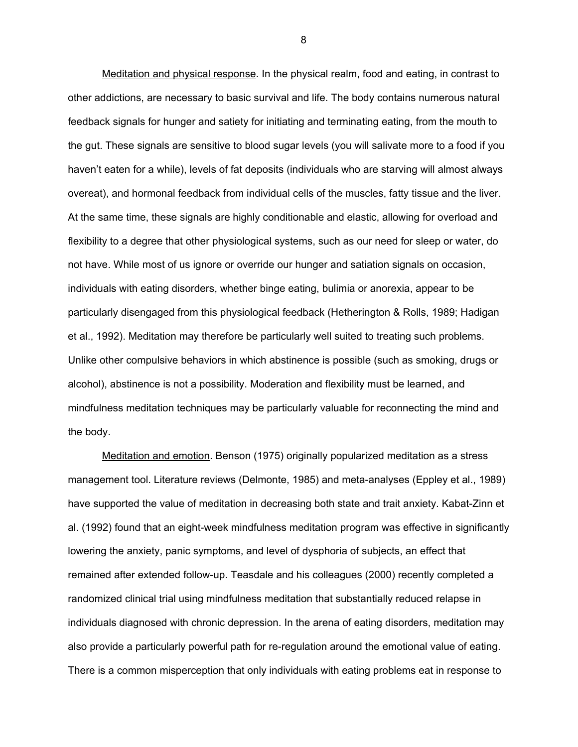Meditation and physical response. In the physical realm, food and eating, in contrast to other addictions, are necessary to basic survival and life. The body contains numerous natural feedback signals for hunger and satiety for initiating and terminating eating, from the mouth to the gut. These signals are sensitive to blood sugar levels (you will salivate more to a food if you haven't eaten for a while), levels of fat deposits (individuals who are starving will almost always overeat), and hormonal feedback from individual cells of the muscles, fatty tissue and the liver. At the same time, these signals are highly conditionable and elastic, allowing for overload and flexibility to a degree that other physiological systems, such as our need for sleep or water, do not have. While most of us ignore or override our hunger and satiation signals on occasion, individuals with eating disorders, whether binge eating, bulimia or anorexia, appear to be particularly disengaged from this physiological feedback (Hetherington & Rolls, 1989; Hadigan et al., 1992). Meditation may therefore be particularly well suited to treating such problems. Unlike other compulsive behaviors in which abstinence is possible (such as smoking, drugs or alcohol), abstinence is not a possibility. Moderation and flexibility must be learned, and mindfulness meditation techniques may be particularly valuable for reconnecting the mind and the body.

Meditation and emotion. Benson (1975) originally popularized meditation as a stress management tool. Literature reviews (Delmonte, 1985) and meta-analyses (Eppley et al., 1989) have supported the value of meditation in decreasing both state and trait anxiety. Kabat-Zinn et al. (1992) found that an eight-week mindfulness meditation program was effective in significantly lowering the anxiety, panic symptoms, and level of dysphoria of subjects, an effect that remained after extended follow-up. Teasdale and his colleagues (2000) recently completed a randomized clinical trial using mindfulness meditation that substantially reduced relapse in individuals diagnosed with chronic depression. In the arena of eating disorders, meditation may also provide a particularly powerful path for re-regulation around the emotional value of eating. There is a common misperception that only individuals with eating problems eat in response to

<u>88 - Santa Amerikaanse konstantine (</u>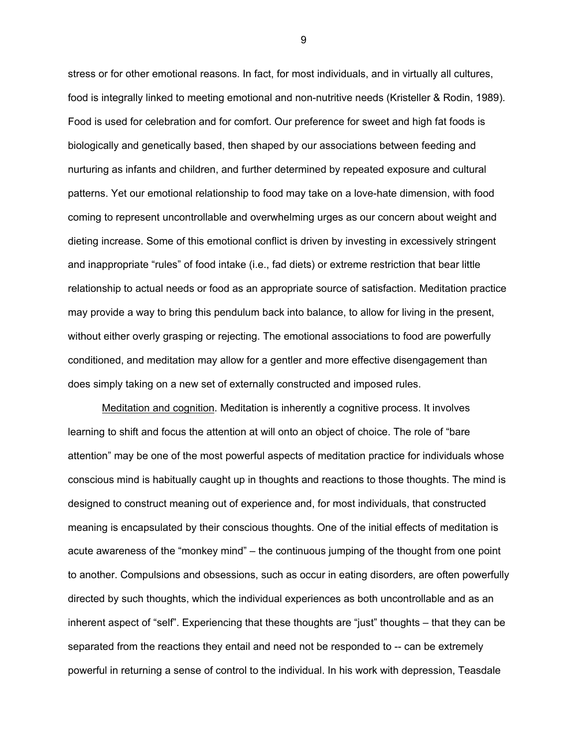stress or for other emotional reasons. In fact, for most individuals, and in virtually all cultures, food is integrally linked to meeting emotional and non-nutritive needs (Kristeller & Rodin, 1989). Food is used for celebration and for comfort. Our preference for sweet and high fat foods is biologically and genetically based, then shaped by our associations between feeding and nurturing as infants and children, and further determined by repeated exposure and cultural patterns. Yet our emotional relationship to food may take on a love-hate dimension, with food coming to represent uncontrollable and overwhelming urges as our concern about weight and dieting increase. Some of this emotional conflict is driven by investing in excessively stringent and inappropriate "rules" of food intake (i.e., fad diets) or extreme restriction that bear little relationship to actual needs or food as an appropriate source of satisfaction. Meditation practice may provide a way to bring this pendulum back into balance, to allow for living in the present, without either overly grasping or rejecting. The emotional associations to food are powerfully conditioned, and meditation may allow for a gentler and more effective disengagement than does simply taking on a new set of externally constructed and imposed rules.

Meditation and cognition. Meditation is inherently a cognitive process. It involves learning to shift and focus the attention at will onto an object of choice. The role of "bare attention" may be one of the most powerful aspects of meditation practice for individuals whose conscious mind is habitually caught up in thoughts and reactions to those thoughts. The mind is designed to construct meaning out of experience and, for most individuals, that constructed meaning is encapsulated by their conscious thoughts. One of the initial effects of meditation is acute awareness of the "monkey mind" – the continuous jumping of the thought from one point to another. Compulsions and obsessions, such as occur in eating disorders, are often powerfully directed by such thoughts, which the individual experiences as both uncontrollable and as an inherent aspect of "self". Experiencing that these thoughts are "just" thoughts – that they can be separated from the reactions they entail and need not be responded to -- can be extremely powerful in returning a sense of control to the individual. In his work with depression, Teasdale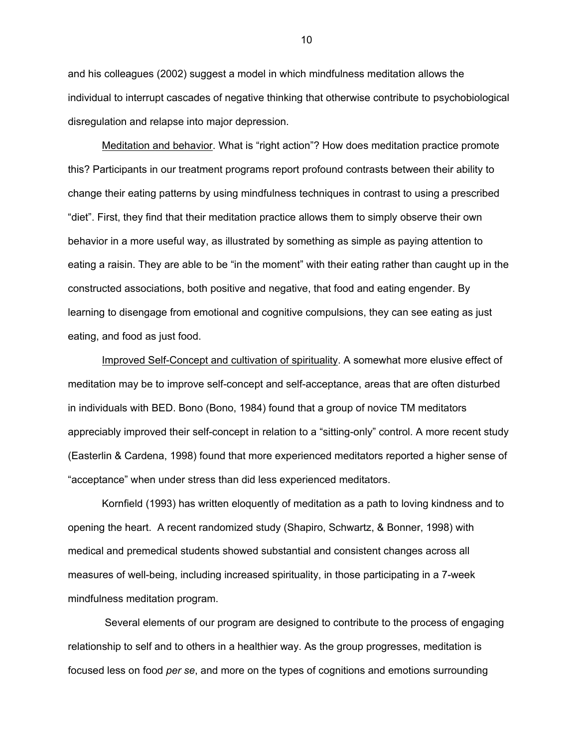and his colleagues (2002) suggest a model in which mindfulness meditation allows the individual to interrupt cascades of negative thinking that otherwise contribute to psychobiological disregulation and relapse into major depression.

Meditation and behavior. What is "right action"? How does meditation practice promote this? Participants in our treatment programs report profound contrasts between their ability to change their eating patterns by using mindfulness techniques in contrast to using a prescribed "diet". First, they find that their meditation practice allows them to simply observe their own behavior in a more useful way, as illustrated by something as simple as paying attention to eating a raisin. They are able to be "in the moment" with their eating rather than caught up in the constructed associations, both positive and negative, that food and eating engender. By learning to disengage from emotional and cognitive compulsions, they can see eating as just eating, and food as just food.

Improved Self-Concept and cultivation of spirituality. A somewhat more elusive effect of meditation may be to improve self-concept and self-acceptance, areas that are often disturbed in individuals with BED. Bono (Bono, 1984) found that a group of novice TM meditators appreciably improved their self-concept in relation to a "sitting-only" control. A more recent study (Easterlin & Cardena, 1998) found that more experienced meditators reported a higher sense of "acceptance" when under stress than did less experienced meditators.

Kornfield (1993) has written eloquently of meditation as a path to loving kindness and to opening the heart. A recent randomized study (Shapiro, Schwartz, & Bonner, 1998) with medical and premedical students showed substantial and consistent changes across all measures of well-being, including increased spirituality, in those participating in a 7-week mindfulness meditation program.

 Several elements of our program are designed to contribute to the process of engaging relationship to self and to others in a healthier way. As the group progresses, meditation is focused less on food *per se*, and more on the types of cognitions and emotions surrounding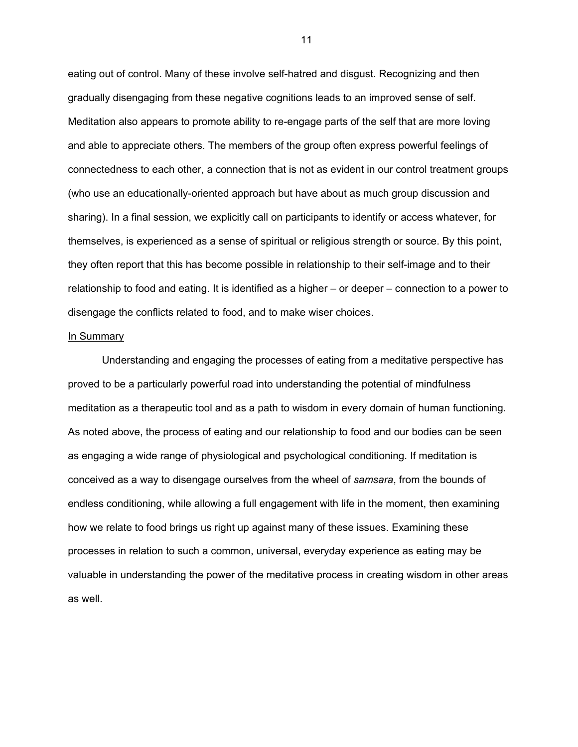eating out of control. Many of these involve self-hatred and disgust. Recognizing and then gradually disengaging from these negative cognitions leads to an improved sense of self. Meditation also appears to promote ability to re-engage parts of the self that are more loving and able to appreciate others. The members of the group often express powerful feelings of connectedness to each other, a connection that is not as evident in our control treatment groups (who use an educationally-oriented approach but have about as much group discussion and sharing). In a final session, we explicitly call on participants to identify or access whatever, for themselves, is experienced as a sense of spiritual or religious strength or source. By this point, they often report that this has become possible in relationship to their self-image and to their relationship to food and eating. It is identified as a higher – or deeper – connection to a power to disengage the conflicts related to food, and to make wiser choices.

## In Summary

 Understanding and engaging the processes of eating from a meditative perspective has proved to be a particularly powerful road into understanding the potential of mindfulness meditation as a therapeutic tool and as a path to wisdom in every domain of human functioning. As noted above, the process of eating and our relationship to food and our bodies can be seen as engaging a wide range of physiological and psychological conditioning. If meditation is conceived as a way to disengage ourselves from the wheel of *samsara*, from the bounds of endless conditioning, while allowing a full engagement with life in the moment, then examining how we relate to food brings us right up against many of these issues. Examining these processes in relation to such a common, universal, everyday experience as eating may be valuable in understanding the power of the meditative process in creating wisdom in other areas as well.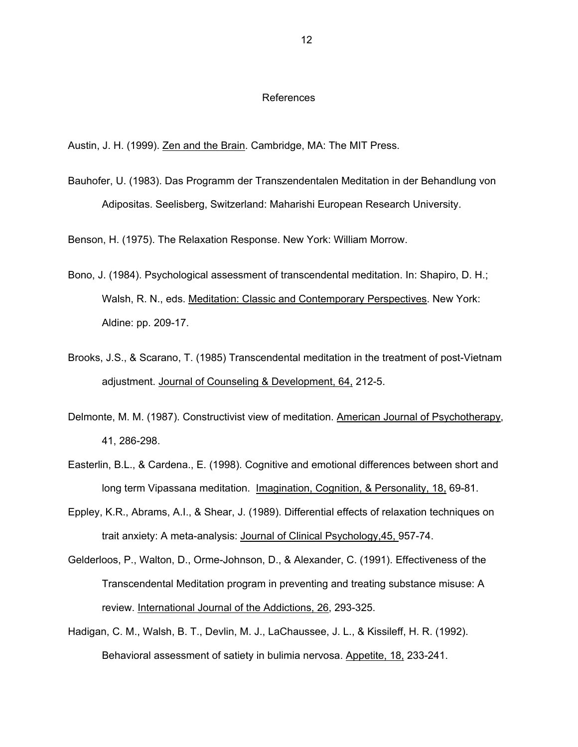#### References

Austin, J. H. (1999). Zen and the Brain. Cambridge, MA: The MIT Press.

Bauhofer, U. (1983). Das Programm der Transzendentalen Meditation in der Behandlung von Adipositas. Seelisberg, Switzerland: Maharishi European Research University.

Benson, H. (1975). The Relaxation Response. New York: William Morrow.

- Bono, J. (1984). Psychological assessment of transcendental meditation. In: Shapiro, D. H.; Walsh, R. N., eds. Meditation: Classic and Contemporary Perspectives. New York: Aldine: pp. 209-17.
- Brooks, J.S., & Scarano, T. (1985) Transcendental meditation in the treatment of post-Vietnam adjustment. Journal of Counseling & Development, 64, 212-5.
- Delmonte, M. M. (1987). Constructivist view of meditation. American Journal of Psychotherapy, 41, 286-298.
- Easterlin, B.L., & Cardena., E. (1998). Cognitive and emotional differences between short and long term Vipassana meditation. Imagination, Cognition, & Personality, 18, 69-81.
- Eppley, K.R., Abrams, A.I., & Shear, J. (1989). Differential effects of relaxation techniques on trait anxiety: A meta-analysis: Journal of Clinical Psychology,45, 957-74.
- Gelderloos, P., Walton, D., Orme-Johnson, D., & Alexander, C. (1991). Effectiveness of the Transcendental Meditation program in preventing and treating substance misuse: A review. International Journal of the Addictions, 26, 293-325.
- Hadigan, C. M., Walsh, B. T., Devlin, M. J., LaChaussee, J. L., & Kissileff, H. R. (1992). Behavioral assessment of satiety in bulimia nervosa. Appetite, 18, 233-241.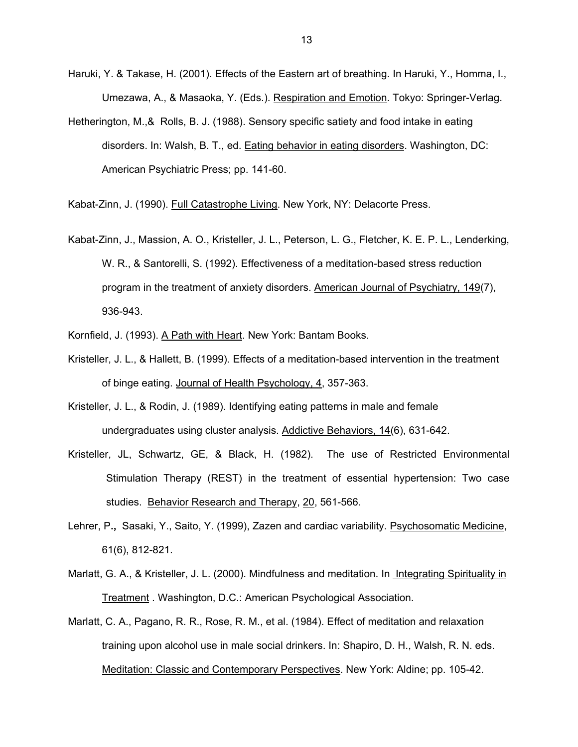- Haruki, Y. & Takase, H. (2001). Effects of the Eastern art of breathing. In Haruki, Y., Homma, I., Umezawa, A., & Masaoka, Y. (Eds.). Respiration and Emotion. Tokyo: Springer-Verlag.
- Hetherington, M.,& Rolls, B. J. (1988). Sensory specific satiety and food intake in eating disorders. In: Walsh, B. T., ed. **Eating behavior in eating disorders. Washington**, DC: American Psychiatric Press; pp. 141-60.

Kabat-Zinn, J. (1990). Full Catastrophe Living. New York, NY: Delacorte Press.

- Kabat-Zinn, J., Massion, A. O., Kristeller, J. L., Peterson, L. G., Fletcher, K. E. P. L., Lenderking, W. R., & Santorelli, S. (1992). Effectiveness of a meditation-based stress reduction program in the treatment of anxiety disorders. American Journal of Psychiatry, 149(7), 936-943.
- Kornfield, J. (1993). A Path with Heart. New York: Bantam Books.
- Kristeller, J. L., & Hallett, B. (1999). Effects of a meditation-based intervention in the treatment of binge eating. Journal of Health Psychology, 4, 357-363.
- Kristeller, J. L., & Rodin, J. (1989). Identifying eating patterns in male and female undergraduates using cluster analysis. Addictive Behaviors, 14(6), 631-642.
- Kristeller, JL, Schwartz, GE, & Black, H. (1982). The use of Restricted Environmental Stimulation Therapy (REST) in the treatment of essential hypertension: Two case studies. Behavior Research and Therapy, 20, 561-566.
- Lehrer, P**.,** Sasaki, Y., Saito, Y. (1999), Zazen and cardiac variability. Psychosomatic Medicine, 61(6), 812-821.
- Marlatt, G. A., & Kristeller, J. L. (2000). Mindfulness and meditation. In Integrating Spirituality in Treatment . Washington, D.C.: American Psychological Association.
- Marlatt, C. A., Pagano, R. R., Rose, R. M., et al. (1984). Effect of meditation and relaxation training upon alcohol use in male social drinkers. In: Shapiro, D. H., Walsh, R. N. eds. Meditation: Classic and Contemporary Perspectives. New York: Aldine; pp. 105-42.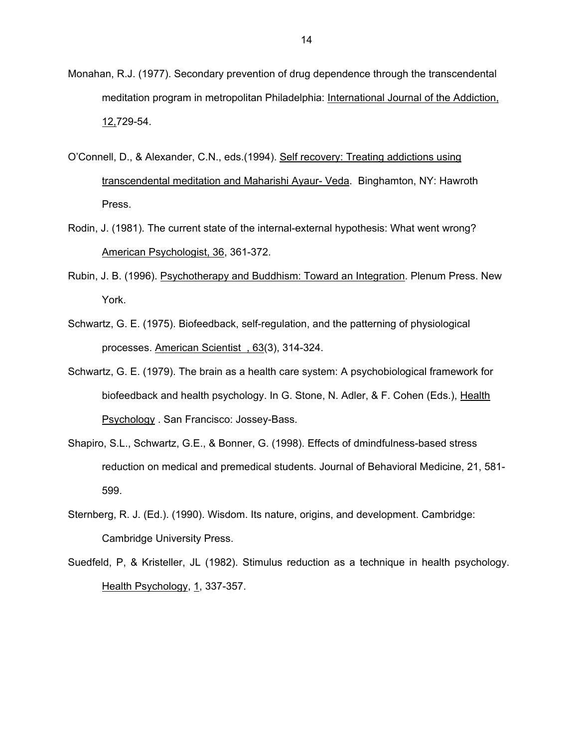- Monahan, R.J. (1977). Secondary prevention of drug dependence through the transcendental meditation program in metropolitan Philadelphia: International Journal of the Addiction, 12,729-54.
- O'Connell, D., & Alexander, C.N., eds.(1994). Self recovery: Treating addictions using transcendental meditation and Maharishi Ayaur- Veda. Binghamton, NY: Hawroth Press.
- Rodin, J. (1981). The current state of the internal-external hypothesis: What went wrong? American Psychologist, 36, 361-372.
- Rubin, J. B. (1996). Psychotherapy and Buddhism: Toward an Integration. Plenum Press. New York.
- Schwartz, G. E. (1975). Biofeedback, self-regulation, and the patterning of physiological processes. American Scientist , 63(3), 314-324.
- Schwartz, G. E. (1979). The brain as a health care system: A psychobiological framework for biofeedback and health psychology. In G. Stone, N. Adler, & F. Cohen (Eds.), Health Psychology . San Francisco: Jossey-Bass.
- Shapiro, S.L., Schwartz, G.E., & Bonner, G. (1998). Effects of dmindfulness-based stress reduction on medical and premedical students. Journal of Behavioral Medicine, 21, 581- 599.
- Sternberg, R. J. (Ed.). (1990). Wisdom. Its nature, origins, and development. Cambridge: Cambridge University Press.
- Suedfeld, P, & Kristeller, JL (1982). Stimulus reduction as a technique in health psychology. Health Psychology, 1, 337-357.